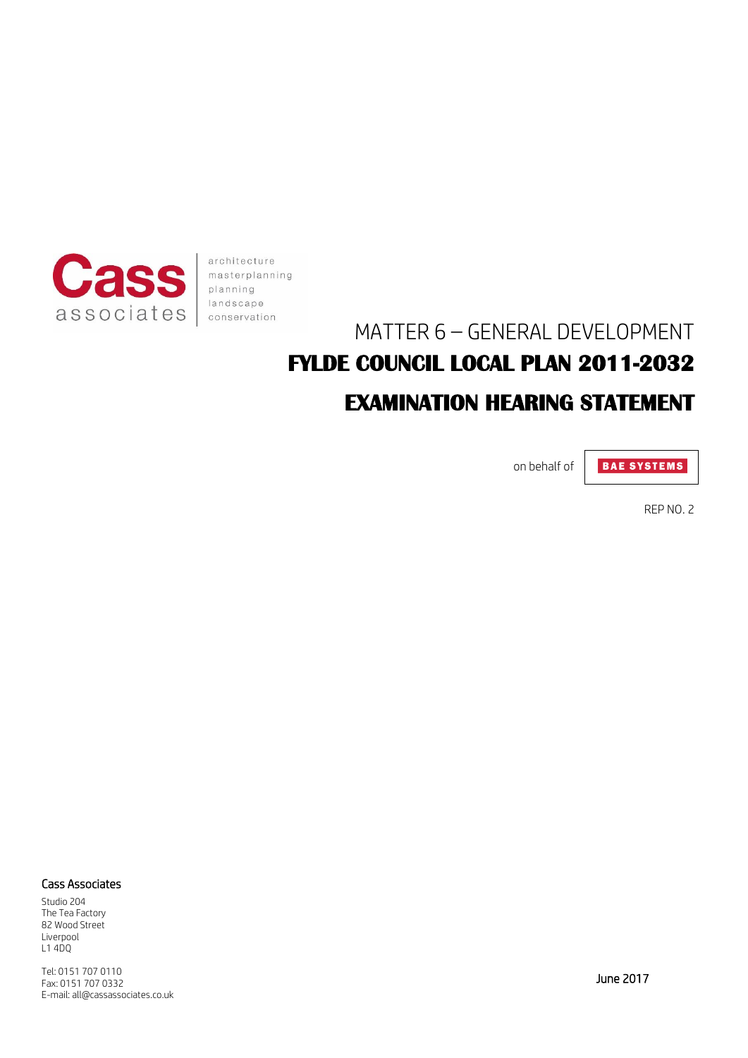

architecture masterplanning planning landscape conservation

# MATTER 6 – GENERAL DEVELOPMENT **FYLDE COUNCIL LOCAL PLAN 2011-2032 EXAMINATION HEARING STATEMENT**

on behalf of

**BAE SYSTEMS** 

REP NO. 2

#### Cass Associates

Studio 204 The Tea Factory 82 Wood Street Liverpool L1 4DQ

Tel: 0151 707 0110 Fax: 0151 707 0332 E-mail: all@cassassociates.co.uk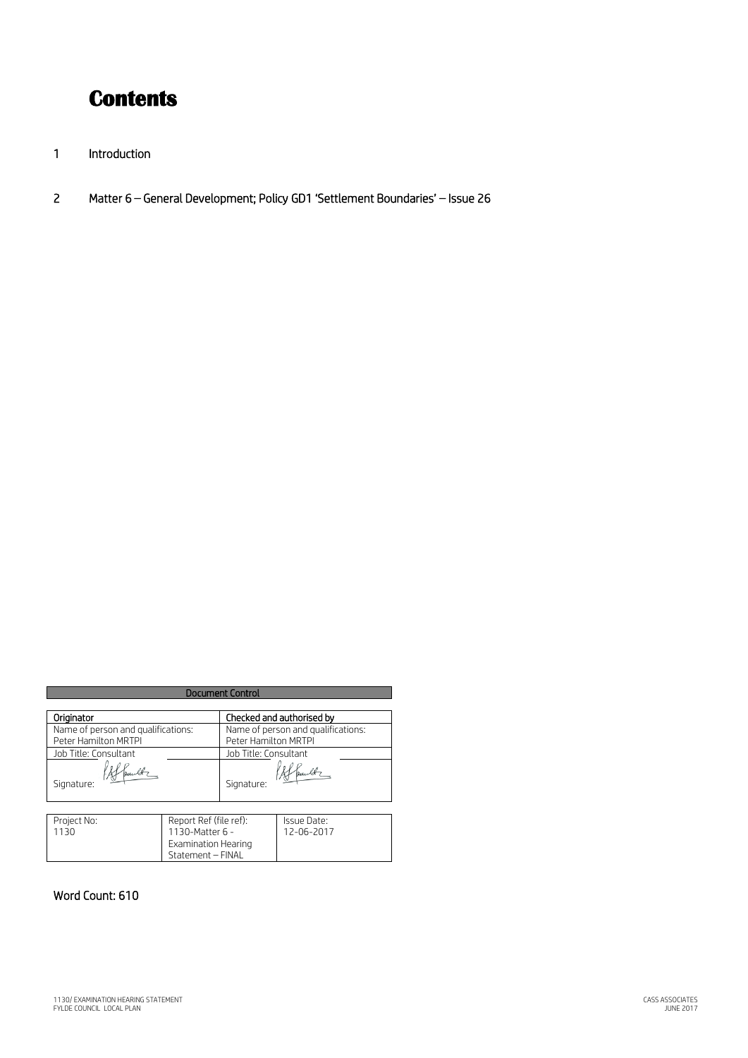## **Contents**

- 1 Introduction
- 2 Matter 6 General Development; Policy GD1 'Settlement Boundaries' Issue 26

| <b>Document Control</b>            |                                                                                              |                                    |                           |
|------------------------------------|----------------------------------------------------------------------------------------------|------------------------------------|---------------------------|
|                                    |                                                                                              |                                    |                           |
| Originator                         |                                                                                              | Checked and authorised by          |                           |
| Name of person and qualifications: |                                                                                              | Name of person and qualifications: |                           |
| Peter Hamilton MRTPI               |                                                                                              | Peter Hamilton MRTPI               |                           |
| Job Title: Consultant              |                                                                                              | Job Title: Consultant              |                           |
| Signature:                         |                                                                                              | Signature:                         |                           |
|                                    |                                                                                              |                                    |                           |
| Project No:<br>1130                | Report Ref (file ref):<br>1130-Matter 6 -<br><b>Examination Hearing</b><br>Statement - FINAL |                                    | Issue Date:<br>12-06-2017 |

Statement – FINAL

### Word Count: 610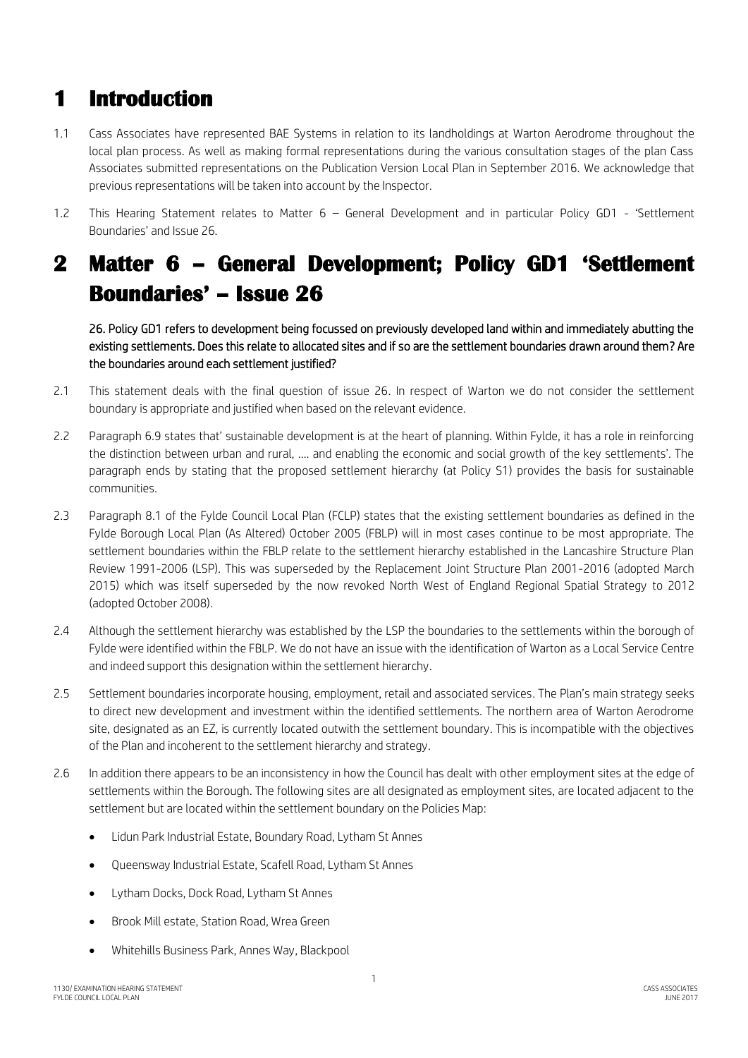### **1 Introduction**

- 1.1 Cass Associates have represented BAE Systems in relation to its landholdings at Warton Aerodrome throughout the local plan process. As well as making formal representations during the various consultation stages of the plan Cass Associates submitted representations on the Publication Version Local Plan in September 2016. We acknowledge that previous representations will be taken into account by the Inspector.
- 1.2 This Hearing Statement relates to Matter 6 General Development and in particular Policy GD1 'Settlement Boundaries' and Issue 26.

## **2 Matter 6 – General Development; Policy GD1 'Settlement Boundaries' – Issue 26**

26. Policy GD1 refers to development being focussed on previously developed land within and immediately abutting the existing settlements. Does this relate to allocated sites and if so are the settlement boundaries drawn around them? Are the boundaries around each settlement justified?

- 2.1 This statement deals with the final question of issue 26. In respect of Warton we do not consider the settlement boundary is appropriate and justified when based on the relevant evidence.
- 2.2 Paragraph 6.9 states that' sustainable development is at the heart of planning. Within Fylde, it has a role in reinforcing the distinction between urban and rural, …. and enabling the economic and social growth of the key settlements'. The paragraph ends by stating that the proposed settlement hierarchy (at Policy S1) provides the basis for sustainable communities.
- 2.3 Paragraph 8.1 of the Fylde Council Local Plan (FCLP) states that the existing settlement boundaries as defined in the Fylde Borough Local Plan (As Altered) October 2005 (FBLP) will in most cases continue to be most appropriate. The settlement boundaries within the FBLP relate to the settlement hierarchy established in the Lancashire Structure Plan Review 1991-2006 (LSP). This was superseded by the Replacement Joint Structure Plan 2001-2016 (adopted March 2015) which was itself superseded by the now revoked North West of England Regional Spatial Strategy to 2012 (adopted October 2008).
- 2.4 Although the settlement hierarchy was established by the LSP the boundaries to the settlements within the borough of Fylde were identified within the FBLP. We do not have an issue with the identification of Warton as a Local Service Centre and indeed support this designation within the settlement hierarchy.
- 2.5 Settlement boundaries incorporate housing, employment, retail and associated services. The Plan's main strategy seeks to direct new development and investment within the identified settlements. The northern area of Warton Aerodrome site, designated as an EZ, is currently located outwith the settlement boundary. This is incompatible with the objectives of the Plan and incoherent to the settlement hierarchy and strategy.
- 2.6 In addition there appears to be an inconsistency in how the Council has dealt with other employment sites at the edge of settlements within the Borough. The following sites are all designated as employment sites, are located adjacent to the settlement but are located within the settlement boundary on the Policies Map:
	- Lidun Park Industrial Estate, Boundary Road, Lytham St Annes
	- Queensway Industrial Estate, Scafell Road, Lytham St Annes
	- Lytham Docks, Dock Road, Lytham St Annes
	- Brook Mill estate, Station Road, Wrea Green
	- Whitehills Business Park, Annes Way, Blackpool